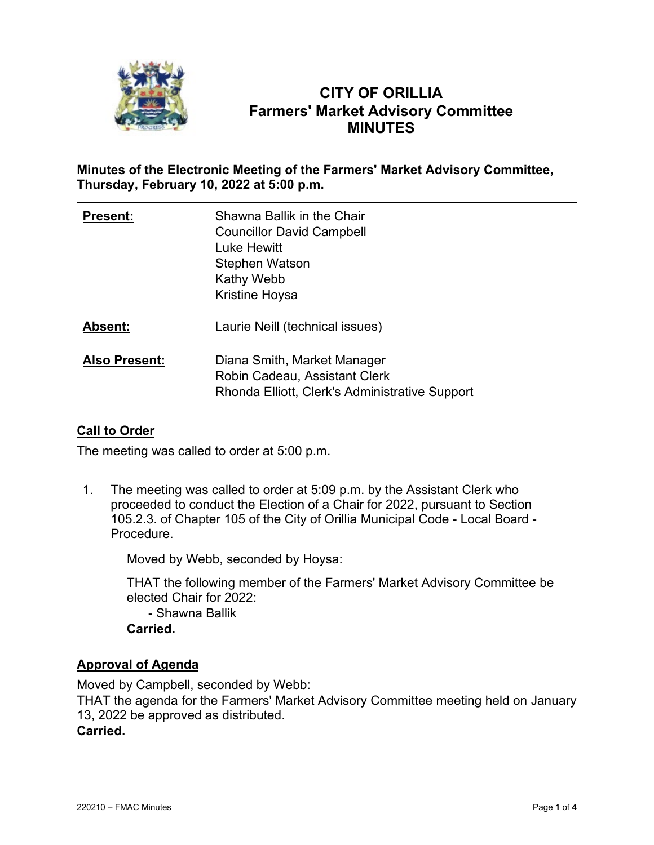

# **CITY OF ORILLIA Farmers' Market Advisory Committee MINUTES**

**Minutes of the Electronic Meeting of the Farmers' Market Advisory Committee, Thursday, February 10, 2022 at 5:00 p.m.**

| <b>Present:</b>      | Shawna Ballik in the Chair<br><b>Councillor David Campbell</b><br>Luke Hewitt<br>Stephen Watson<br>Kathy Webb<br>Kristine Hoysa |
|----------------------|---------------------------------------------------------------------------------------------------------------------------------|
| Absent:              | Laurie Neill (technical issues)                                                                                                 |
| <b>Also Present:</b> | Diana Smith, Market Manager<br>Robin Cadeau, Assistant Clerk<br>Rhonda Elliott, Clerk's Administrative Support                  |

## **Call to Order**

The meeting was called to order at 5:00 p.m.

1. The meeting was called to order at 5:09 p.m. by the Assistant Clerk who proceeded to conduct the Election of a Chair for 2022, pursuant to Section 105.2.3. of Chapter 105 of the City of Orillia Municipal Code - Local Board - Procedure.

Moved by Webb, seconded by Hoysa:

THAT the following member of the Farmers' Market Advisory Committee be elected Chair for 2022:

 - Shawna Ballik **Carried.**

# **Approval of Agenda**

Moved by Campbell, seconded by Webb:

THAT the agenda for the Farmers' Market Advisory Committee meeting held on January 13, 2022 be approved as distributed. **Carried.**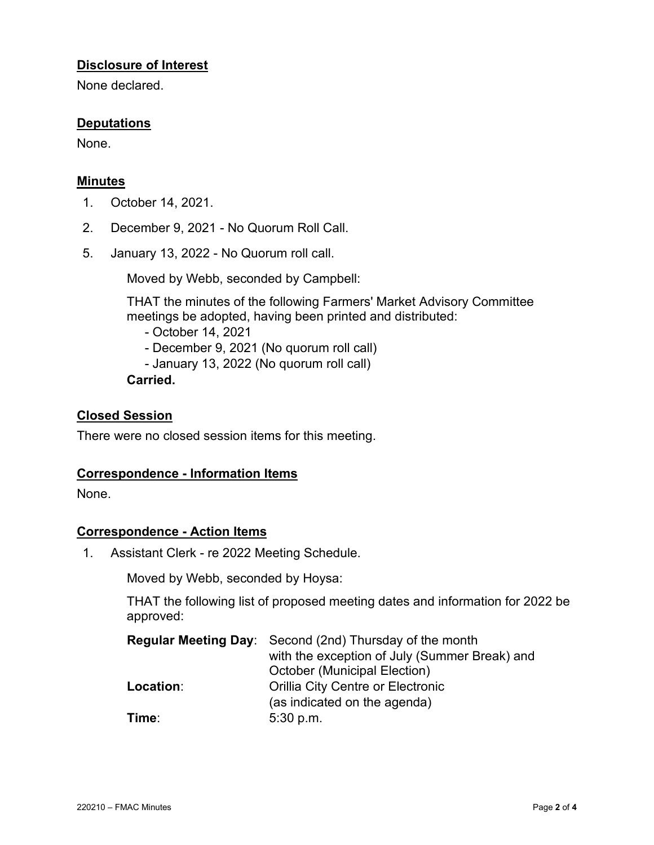# **Disclosure of Interest**

None declared.

## **Deputations**

None.

### **Minutes**

- 1. October 14, 2021.
- 2. December 9, 2021 No Quorum Roll Call.
- 5. January 13, 2022 No Quorum roll call.

Moved by Webb, seconded by Campbell:

THAT the minutes of the following Farmers' Market Advisory Committee meetings be adopted, having been printed and distributed:

- October 14, 2021

- December 9, 2021 (No quorum roll call)

- January 13, 2022 (No quorum roll call)

#### **Carried.**

#### **Closed Session**

There were no closed session items for this meeting.

#### **Correspondence - Information Items**

None.

#### **Correspondence - Action Items**

1. Assistant Clerk - re 2022 Meeting Schedule.

Moved by Webb, seconded by Hoysa:

THAT the following list of proposed meeting dates and information for 2022 be approved:

|           | Regular Meeting Day: Second (2nd) Thursday of the month |
|-----------|---------------------------------------------------------|
|           | with the exception of July (Summer Break) and           |
|           | October (Municipal Election)                            |
| Location: | Orillia City Centre or Electronic                       |
|           | (as indicated on the agenda)                            |
| Time:     | 5:30 p.m.                                               |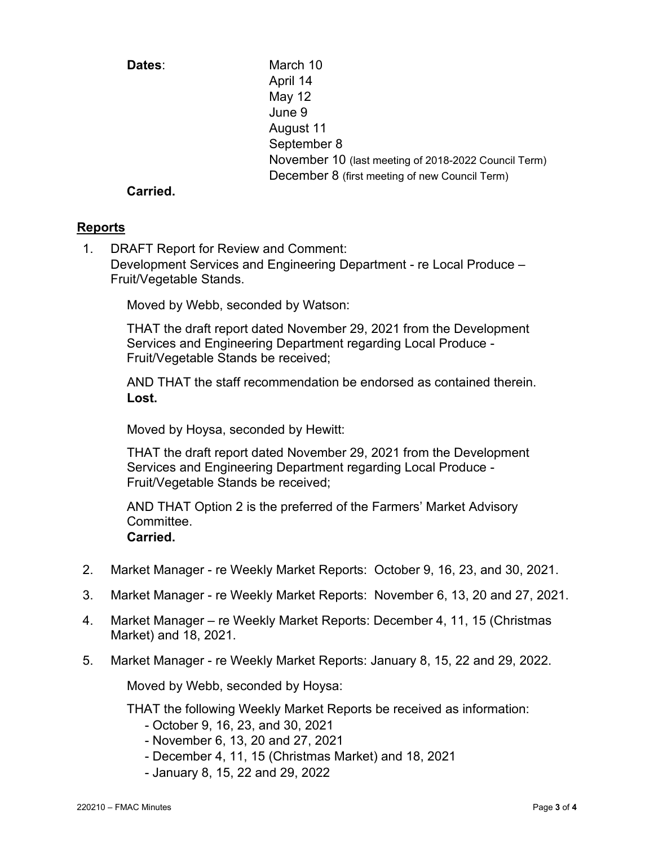**Dates:** March 10 April 14 May 12 June 9 August 11 September 8 November 10 (last meeting of 2018-2022 Council Term) December 8 (first meeting of new Council Term)

**Carried.**

## **Reports**

1. DRAFT Report for Review and Comment: Development Services and Engineering Department - re Local Produce – Fruit/Vegetable Stands.

Moved by Webb, seconded by Watson:

THAT the draft report dated November 29, 2021 from the Development Services and Engineering Department regarding Local Produce - Fruit/Vegetable Stands be received;

AND THAT the staff recommendation be endorsed as contained therein. **Lost.**

Moved by Hoysa, seconded by Hewitt:

THAT the draft report dated November 29, 2021 from the Development Services and Engineering Department regarding Local Produce - Fruit/Vegetable Stands be received;

AND THAT Option 2 is the preferred of the Farmers' Market Advisory Committee. **Carried.**

- 2. Market Manager re Weekly Market Reports: October 9, 16, 23, and 30, 2021.
- 3. Market Manager re Weekly Market Reports: November 6, 13, 20 and 27, 2021.
- 4. Market Manager re Weekly Market Reports: December 4, 11, 15 (Christmas Market) and 18, 2021.
- 5. Market Manager re Weekly Market Reports: January 8, 15, 22 and 29, 2022.

Moved by Webb, seconded by Hoysa:

THAT the following Weekly Market Reports be received as information:

- October 9, 16, 23, and 30, 2021
- November 6, 13, 20 and 27, 2021
- December 4, 11, 15 (Christmas Market) and 18, 2021
- January 8, 15, 22 and 29, 2022